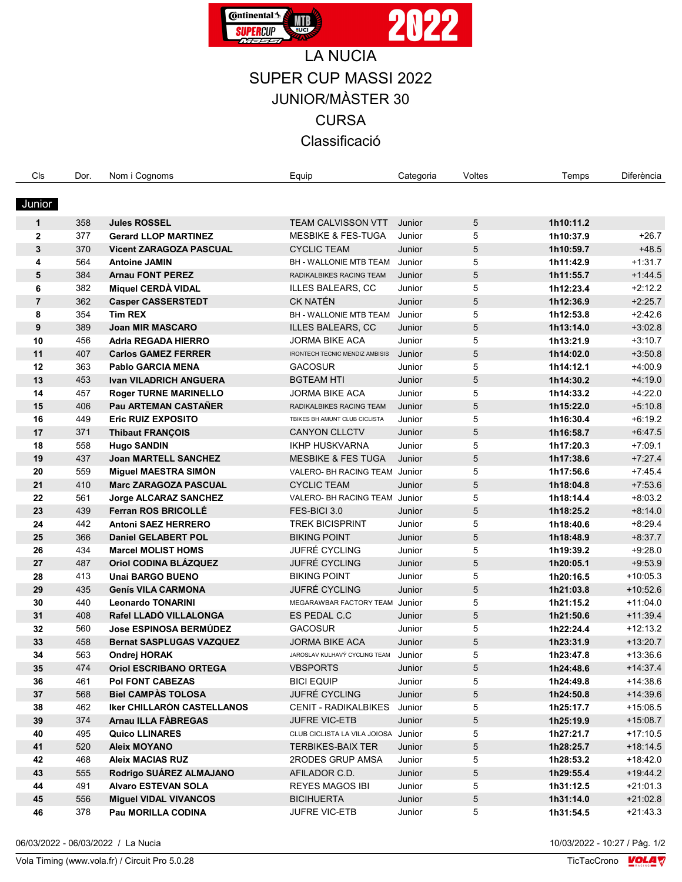

## LA NUCIA SUPER CUP MASSI 2022 JUNIOR/MÀSTER 30 **CURSA** Classificació

| Cls            | Dor. | Nom i Cognoms                     | Equip                                 | Categoria | Voltes | Temps     | <b>Diferència</b> |
|----------------|------|-----------------------------------|---------------------------------------|-----------|--------|-----------|-------------------|
|                |      |                                   |                                       |           |        |           |                   |
| Junior         |      |                                   |                                       |           |        |           |                   |
| $\mathbf{1}$   | 358  | <b>Jules ROSSEL</b>               | <b>TEAM CALVISSON VTT</b>             | Junior    | 5      | 1h10:11.2 |                   |
| $\mathbf{2}$   | 377  | <b>Gerard LLOP MARTINEZ</b>       | <b>MESBIKE &amp; FES-TUGA</b>         | Junior    | 5      | 1h10:37.9 | $+26.7$           |
| 3              | 370  | <b>Vicent ZARAGOZA PASCUAL</b>    | <b>CYCLIC TEAM</b>                    | Junior    | 5      | 1h10:59.7 | $+48.5$           |
| 4              | 564  | <b>Antoine JAMIN</b>              | BH - WALLONIE MTB TEAM                | Junior    | 5      | 1h11:42.9 | $+1:31.7$         |
| 5              | 384  | <b>Arnau FONT PEREZ</b>           | RADIKALBIKES RACING TEAM              | Junior    | 5      | 1h11:55.7 | $+1.44.5$         |
| 6              | 382  | Miquel CERDÀ VIDAL                | <b>ILLES BALEARS, CC</b>              | Junior    | 5      | 1h12:23.4 | $+2:12.2$         |
| $\overline{7}$ | 362  | <b>Casper CASSERSTEDT</b>         | <b>CK NATÉN</b>                       | Junior    | 5      | 1h12:36.9 | $+2.25.7$         |
| 8              | 354  | <b>Tim REX</b>                    | BH - WALLONIE MTB TEAM                | Junior    | 5      | 1h12:53.8 | $+2.42.6$         |
| 9              | 389  | <b>Joan MIR MASCARO</b>           | <b>ILLES BALEARS, CC</b>              | Junior    | 5      | 1h13:14.0 | $+3.02.8$         |
| 10             | 456  | <b>Adria REGADA HIERRO</b>        | JORMA BIKE ACA                        | Junior    | 5      | 1h13:21.9 | $+3:10.7$         |
| 11             | 407  | <b>Carlos GAMEZ FERRER</b>        | <b>IRONTECH TECNIC MENDIZ AMBISIS</b> | Junior    | 5      | 1h14:02.0 | $+3.50.8$         |
| 12             | 363  | <b>Pablo GARCIA MENA</b>          | <b>GACOSUR</b>                        | Junior    | 5      | 1h14:12.1 | $+4:00.9$         |
| 13             | 453  | <b>Ivan VILADRICH ANGUERA</b>     | <b>BGTEAM HTI</b>                     | Junior    | 5      | 1h14:30.2 | $+4.19.0$         |
| 14             | 457  | <b>Roger TURNE MARINELLO</b>      | JORMA BIKE ACA                        | Junior    | 5      | 1h14:33.2 | $+4.22.0$         |
| 15             | 406  | <b>Pau ARTEMAN CASTAÑER</b>       | RADIKALBIKES RACING TEAM              | Junior    | 5      | 1h15:22.0 | $+5.10.8$         |
| 16             | 449  | <b>Eric RUIZ EXPOSITO</b>         | TBIKES BH AMUNT CLUB CICLISTA         | Junior    | 5      | 1h16:30.4 | $+6:19.2$         |
| 17             | 371  | <b>Thibaut FRANÇOIS</b>           | <b>CANYON CLLCTV</b>                  | Junior    | 5      | 1h16:58.7 | $+6.47.5$         |
| 18             | 558  | <b>Hugo SANDIN</b>                | <b>IKHP HUSKVARNA</b>                 | Junior    | 5      | 1h17:20.3 | $+7.09.1$         |
| 19             | 437  | <b>Joan MARTELL SANCHEZ</b>       | <b>MESBIKE &amp; FES TUGA</b>         | Junior    | 5      | 1h17:38.6 | $+7.27.4$         |
| 20             | 559  | Miguel MAESTRA SIMÓN              | VALERO- BH RACING TEAM Junior         |           | 5      | 1h17:56.6 | $+7.45.4$         |
| 21             | 410  | <b>Marc ZARAGOZA PASCUAL</b>      | <b>CYCLIC TEAM</b>                    | Junior    | 5      | 1h18:04.8 | $+7.53.6$         |
| 22             | 561  | Jorge ALCARAZ SANCHEZ             | VALERO- BH RACING TEAM Junior         |           | 5      | 1h18:14.4 | $+8.03.2$         |
| 23             | 439  | Ferran ROS BRICOLLÉ               | FES-BICI 3.0                          | Junior    | 5      | 1h18:25.2 | $+8.14.0$         |
| 24             | 442  | <b>Antoni SAEZ HERRERO</b>        | <b>TREK BICISPRINT</b>                | Junior    | 5      | 1h18:40.6 | $+8.29.4$         |
| 25             | 366  | <b>Daniel GELABERT POL</b>        | <b>BIKING POINT</b>                   | Junior    | 5      | 1h18:48.9 | $+8.37.7$         |
| 26             | 434  | <b>Marcel MOLIST HOMS</b>         | JUFRÉ CYCLING                         | Junior    | 5      | 1h19:39.2 | $+9.28.0$         |
| 27             | 487  | Oriol CODINA BLÁZQUEZ             | JUFRÉ CYCLING                         | Junior    | 5      | 1h20:05.1 | $+9:53.9$         |
| 28             | 413  | <b>Unai BARGO BUENO</b>           | <b>BIKING POINT</b>                   | Junior    | 5      | 1h20:16.5 | $+10.05.3$        |
| 29             | 435  | <b>Genís VILA CARMONA</b>         | JUFRÉ CYCLING                         | Junior    | 5      | 1h21:03.8 | $+10:52.6$        |
| 30             | 440  | <b>Leonardo TONARINI</b>          | MEGARAWBAR FACTORY TEAM               | Junior    | 5      | 1h21:15.2 | $+11:04.0$        |
| 31             | 408  | Rafel LLADÓ VILLALONGA            | ES PEDAL C.C                          | Junior    | 5      | 1h21:50.6 | $+11:39.4$        |
| 32             | 560  | <b>Jose ESPINOSA BERMÚDEZ</b>     | <b>GACOSUR</b>                        | Junior    | 5      | 1h22:24.4 | $+12:13.2$        |
| 33             | 458  | <b>Bernat SASPLUGAS VAZQUEZ</b>   | <b>JORMA BIKE ACA</b>                 | Junior    | 5      | 1h23:31.9 | $+13:20.7$        |
| 34             | 563  | Ondrej HORAK                      | JAROSLAV KULHAVÝ CYCLING TEAM         | Junior    | 5      | 1h23:47.8 | $+13:36.6$        |
| 35             | 474  | <b>Oriol ESCRIBANO ORTEGA</b>     | <b>VBSPORTS</b>                       | Junior    | 5      | 1h24:48.6 | $+14.37.4$        |
| 36             | 461  | <b>Pol FONT CABEZAS</b>           | <b>BICI EQUIP</b>                     | Junior    | 5      | 1h24:49.8 | $+14.38.6$        |
| 37             | 568  | <b>Biel CAMPAS TOLOSA</b>         | JUFRÉ CYCLING                         | Junior    | 5      | 1h24:50.8 | $+14.39.6$        |
| 38             | 462  | <b>Iker CHILLARÓN CASTELLANOS</b> | <b>CENIT - RADIKALBIKES</b>           | Junior    | 5      | 1h25:17.7 | $+15:06.5$        |
| 39             | 374  | <b>Arnau ILLA FABREGAS</b>        | <b>JUFRE VIC-ETB</b>                  | Junior    | 5      | 1h25:19.9 | $+15:08.7$        |
| 40             | 495  | <b>Quico LLINARES</b>             | CLUB CICLISTA LA VILA JOIOSA Junior   |           | 5      | 1h27:21.7 | $+17:10.5$        |
| 41             | 520  | <b>Aleix MOYANO</b>               | <b>TERBIKES-BAIX TER</b>              | Junior    | 5      | 1h28:25.7 | $+18.14.5$        |
| 42             | 468  | <b>Aleix MACIAS RUZ</b>           | 2RODES GRUP AMSA                      | Junior    | 5      | 1h28:53.2 | $+18.42.0$        |
| 43             | 555  | Rodrigo SUÁREZ ALMAJANO           | AFILADOR C.D.                         | Junior    | 5      | 1h29:55.4 | $+19.44.2$        |
| 44             | 491  | <b>Alvaro ESTEVAN SOLA</b>        | <b>REYES MAGOS IBI</b>                | Junior    | 5      | 1h31:12.5 | $+21:01.3$        |
| 45             | 556  | <b>Miguel VIDAL VIVANCOS</b>      | <b>BICIHUERTA</b>                     | Junior    | 5      | 1h31:14.0 | $+21:02.8$        |
| 46             | 378  | Pau MORILLA CODINA                | <b>JUFRE VIC-ETB</b>                  | Junior    | 5      | 1h31:54.5 | $+21:43.3$        |
|                |      |                                   |                                       |           |        |           |                   |

06/03/2022 - 06/03/2022 / La Nucia 10/03/2022 - 10:27 / Pàg. 1/2

 $\overline{\phantom{a}}$